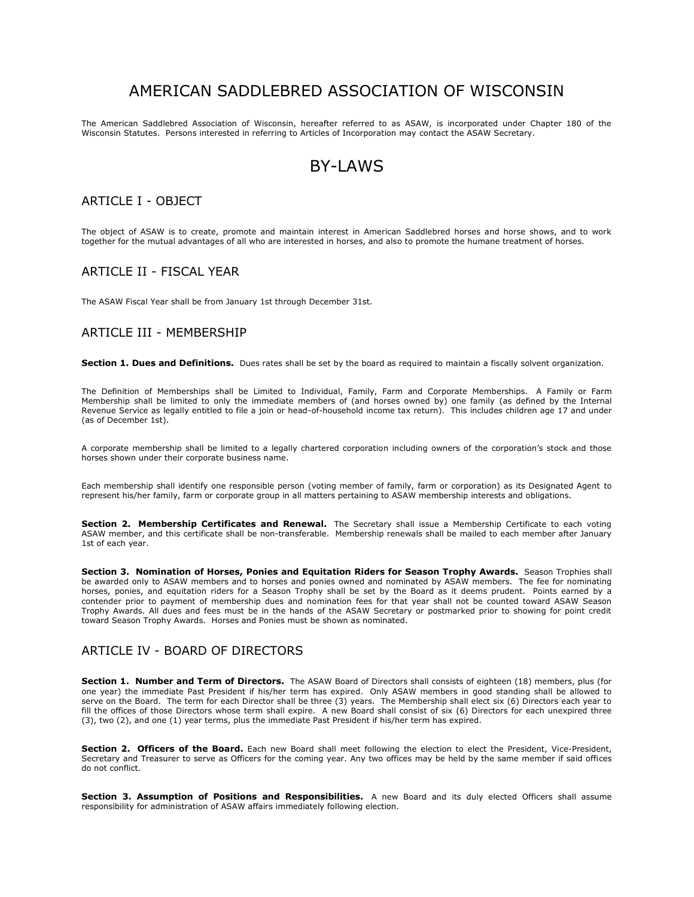# AMERICAN SADDLEBRED ASSOCIATION OF WISCONSIN

The American Saddlebred Association of Wisconsin, hereafter referred to as ASAW, is incorporated under Chapter 180 of the Wisconsin Statutes. Persons interested in referring to Articles of Incorporation may contact the ASAW Secretary.

# BY-LAWS

#### ARTICLE I - OBJECT

The object of ASAW is to create, promote and maintain interest in American Saddlebred horses and horse shows, and to work together for the mutual advantages of all who are interested in horses, and also to promote the humane treatment of horses.

#### ARTICLE II - FISCAL YEAR

The ASAW Fiscal Year shall be from January 1st through December 31st.

# ARTICLE III - MEMBERSHIP

**Section 1. Dues and Definitions.** Dues rates shall be set by the board as required to maintain a fiscally solvent organization.

The Definition of Memberships shall be Limited to Individual, Family, Farm and Corporate Memberships. A Family or Farm Membership shall be limited to only the immediate members of (and horses owned by) one family (as defined by the Internal Revenue Service as legally entitled to file a join or head-of-household income tax return). This includes children age 17 and under (as of December 1st).

A corporate membership shall be limited to a legally chartered corporation including owners of the corporation's stock and those horses shown under their corporate business name.

Each membership shall identify one responsible person (voting member of family, farm or corporation) as its Designated Agent to represent his/her family, farm or corporate group in all matters pertaining to ASAW membership interests and obligations.

**Section 2. Membership Certificates and Renewal.** The Secretary shall issue a Membership Certificate to each voting ASAW member, and this certificate shall be non-transferable. Membership renewals shall be mailed to each member after January 1st of each year.

**Section 3. Nomination of Horses, Ponies and Equitation Riders for Season Trophy Awards.** Season Trophies shall be awarded only to ASAW members and to horses and ponies owned and nominated by ASAW members. The fee for nominating horses, ponies, and equitation riders for a Season Trophy shall be set by the Board as it deems prudent. Points earned by a contender prior to payment of membership dues and nomination fees for that year shall not be counted toward ASAW Season Trophy Awards. All dues and fees must be in the hands of the ASAW Secretary or postmarked prior to showing for point credit toward Season Trophy Awards. Horses and Ponies must be shown as nominated.

# ARTICLE IV - BOARD OF DIRECTORS

**Section 1. Number and Term of Directors.** The ASAW Board of Directors shall consists of eighteen (18) members, plus (for one year) the immediate Past President if his/her term has expired. Only ASAW members in good standing shall be allowed to serve on the Board. The term for each Director shall be three (3) years. The Membership shall elect six (6) Directors each year to fill the offices of those Directors whose term shall expire. A new Board shall consist of six (6) Directors for each unexpired three (3), two (2), and one (1) year terms, plus the immediate Past President if his/her term has expired.

**Section 2. Officers of the Board.** Each new Board shall meet following the election to elect the President, Vice-President, Secretary and Treasurer to serve as Officers for the coming year. Any two offices may be held by the same member if said offices do not conflict.

**Section 3. Assumption of Positions and Responsibilities.** A new Board and its duly elected Officers shall assume responsibility for administration of ASAW affairs immediately following election.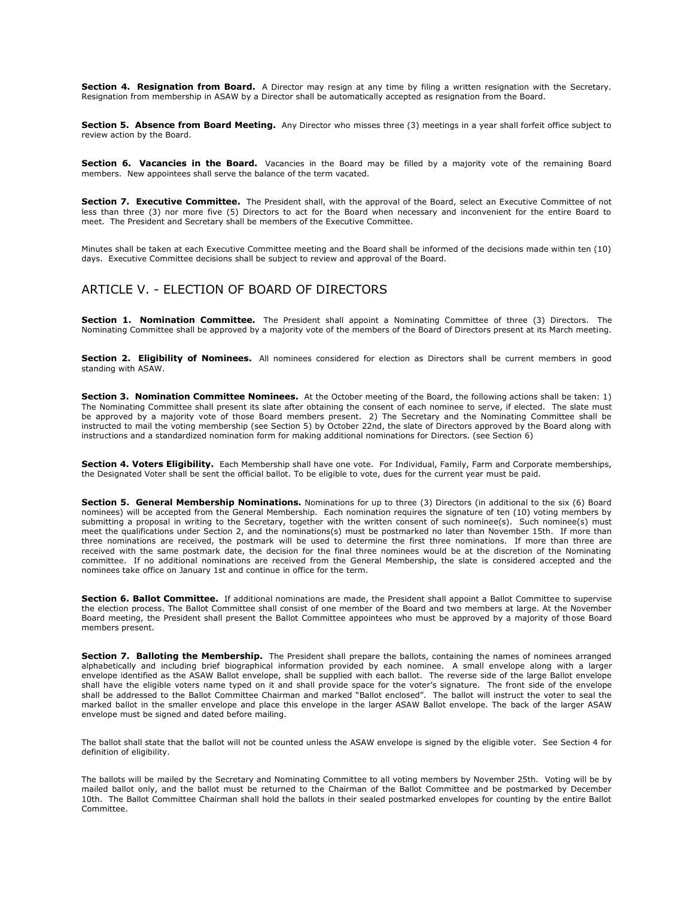**Section 4. Resignation from Board.** A Director may resign at any time by filing a written resignation with the Secretary. Resignation from membership in ASAW by a Director shall be automatically accepted as resignation from the Board.

**Section 5. Absence from Board Meeting.** Any Director who misses three (3) meetings in a year shall forfeit office subject to review action by the Board.

**Section 6. Vacancies in the Board.** Vacancies in the Board may be filled by a majority vote of the remaining Board members. New appointees shall serve the balance of the term vacated.

**Section 7. Executive Committee.** The President shall, with the approval of the Board, select an Executive Committee of not less than three (3) nor more five (5) Directors to act for the Board when necessary and inconvenient for the entire Board to meet. The President and Secretary shall be members of the Executive Committee.

Minutes shall be taken at each Executive Committee meeting and the Board shall be informed of the decisions made within ten (10) days. Executive Committee decisions shall be subject to review and approval of the Board.

# ARTICLE V. - ELECTION OF BOARD OF DIRECTORS

**Section 1. Nomination Committee.** The President shall appoint a Nominating Committee of three (3) Directors. The Nominating Committee shall be approved by a majority vote of the members of the Board of Directors present at its March meeting.

**Section 2. Eligibility of Nominees.** All nominees considered for election as Directors shall be current members in good standing with ASAW.

**Section 3. Nomination Committee Nominees.** At the October meeting of the Board, the following actions shall be taken: 1) The Nominating Committee shall present its slate after obtaining the consent of each nominee to serve, if elected. The slate must be approved by a majority vote of those Board members present. 2) The Secretary and the Nominating Committee shall be instructed to mail the voting membership (see Section 5) by October 22nd, the slate of Directors approved by the Board along with instructions and a standardized nomination form for making additional nominations for Directors. (see Section 6)

**Section 4. Voters Eligibility.** Each Membership shall have one vote. For Individual, Family, Farm and Corporate memberships, the Designated Voter shall be sent the official ballot. To be eligible to vote, dues for the current year must be paid.

**Section 5. General Membership Nominations.** Nominations for up to three (3) Directors (in additional to the six (6) Board nominees) will be accepted from the General Membership. Each nomination requires the signature of ten (10) voting members by submitting a proposal in writing to the Secretary, together with the written consent of such nominee(s). Such nominee(s) must meet the qualifications under Section 2, and the nominations(s) must be postmarked no later than November 15th. If more than three nominations are received, the postmark will be used to determine the first three nominations. If more than three are received with the same postmark date, the decision for the final three nominees would be at the discretion of the Nominating committee. If no additional nominations are received from the General Membership, the slate is considered accepted and the nominees take office on January 1st and continue in office for the term.

**Section 6. Ballot Committee.** If additional nominations are made, the President shall appoint a Ballot Committee to supervise the election process. The Ballot Committee shall consist of one member of the Board and two members at large. At the November Board meeting, the President shall present the Ballot Committee appointees who must be approved by a majority of those Board members present.

**Section 7. Balloting the Membership.** The President shall prepare the ballots, containing the names of nominees arranged alphabetically and including brief biographical information provided by each nominee. A small envelope along with a larger envelope identified as the ASAW Ballot envelope, shall be supplied with each ballot. The reverse side of the large Ballot envelope shall have the eligible voters name typed on it and shall provide space for the voter's signature. The front side of the envelope shall be addressed to the Ballot Committee Chairman and marked "Ballot enclosed". The ballot will instruct the voter to seal the marked ballot in the smaller envelope and place this envelope in the larger ASAW Ballot envelope. The back of the larger ASAW envelope must be signed and dated before mailing.

The ballot shall state that the ballot will not be counted unless the ASAW envelope is signed by the eligible voter. See Section 4 for definition of eligibility.

The ballots will be mailed by the Secretary and Nominating Committee to all voting members by November 25th. Voting will be by mailed ballot only, and the ballot must be returned to the Chairman of the Ballot Committee and be postmarked by December 10th. The Ballot Committee Chairman shall hold the ballots in their sealed postmarked envelopes for counting by the entire Ballot Committee.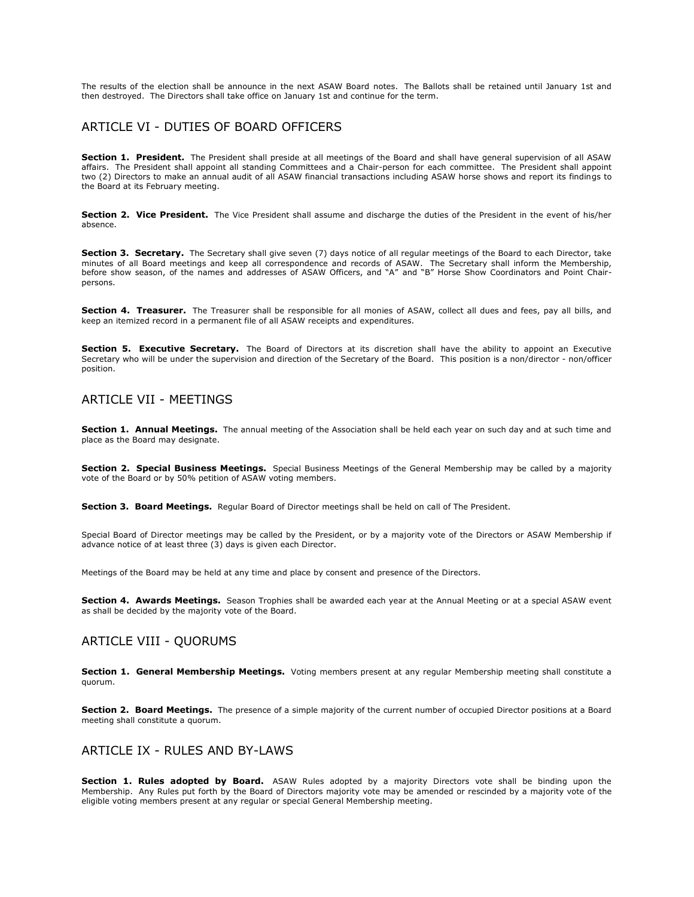The results of the election shall be announce in the next ASAW Board notes. The Ballots shall be retained until January 1st and then destroyed. The Directors shall take office on January 1st and continue for the term.

# ARTICLE VI - DUTIES OF BOARD OFFICERS

**Section 1. President.** The President shall preside at all meetings of the Board and shall have general supervision of all ASAW affairs. The President shall appoint all standing Committees and a Chair-person for each committee. The President shall appoint two (2) Directors to make an annual audit of all ASAW financial transactions including ASAW horse shows and report its findings to the Board at its February meeting.

**Section 2. Vice President.** The Vice President shall assume and discharge the duties of the President in the event of his/her absence.

**Section 3. Secretary.** The Secretary shall give seven (7) days notice of all regular meetings of the Board to each Director, take minutes of all Board meetings and keep all correspondence and records of ASAW. The Secretary shall inform the Membership, before show season, of the names and addresses of ASAW Officers, and "A" and "B" Horse Show Coordinators and Point Chairpersons.

**Section 4. Treasurer.** The Treasurer shall be responsible for all monies of ASAW, collect all dues and fees, pay all bills, and keep an itemized record in a permanent file of all ASAW receipts and expenditures.

**Section 5. Executive Secretary.** The Board of Directors at its discretion shall have the ability to appoint an Executive Secretary who will be under the supervision and direction of the Secretary of the Board. This position is a non/director - non/officer position.

### ARTICLE VII - MEETINGS

**Section 1. Annual Meetings.** The annual meeting of the Association shall be held each year on such day and at such time and place as the Board may designate.

**Section 2. Special Business Meetings.** Special Business Meetings of the General Membership may be called by a majority vote of the Board or by 50% petition of ASAW voting members.

**Section 3. Board Meetings.** Regular Board of Director meetings shall be held on call of The President.

Special Board of Director meetings may be called by the President, or by a majority vote of the Directors or ASAW Membership if advance notice of at least three (3) days is given each Director.

Meetings of the Board may be held at any time and place by consent and presence of the Directors.

**Section 4. Awards Meetings.** Season Trophies shall be awarded each year at the Annual Meeting or at a special ASAW event as shall be decided by the majority vote of the Board.

# ARTICLE VIII - QUORUMS

**Section 1. General Membership Meetings.** Voting members present at any regular Membership meeting shall constitute a quorum.

**Section 2. Board Meetings.** The presence of a simple majority of the current number of occupied Director positions at a Board meeting shall constitute a quorum.

#### ARTICLE IX - RULES AND BY-LAWS

**Section 1. Rules adopted by Board.** ASAW Rules adopted by a majority Directors vote shall be binding upon the Membership. Any Rules put forth by the Board of Directors majority vote may be amended or rescinded by a majority vote of the eligible voting members present at any regular or special General Membership meeting.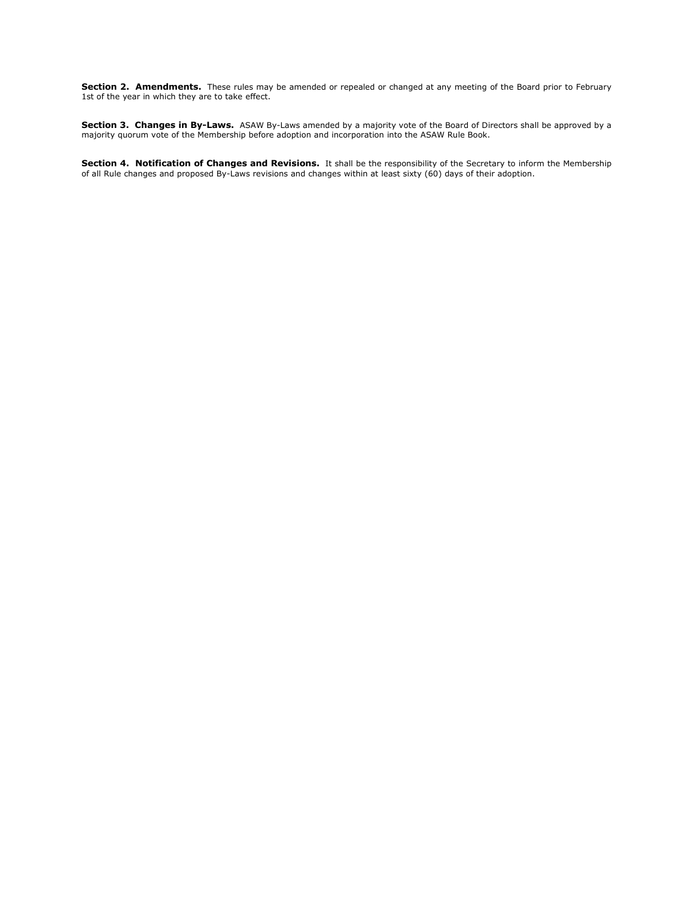**Section 2. Amendments.** These rules may be amended or repealed or changed at any meeting of the Board prior to February 1st of the year in which they are to take effect.

**Section 3. Changes in By-Laws.** ASAW By-Laws amended by a majority vote of the Board of Directors shall be approved by a majority quorum vote of the Membership before adoption and incorporation into the ASAW Rule Book.

**Section 4. Notification of Changes and Revisions.** It shall be the responsibility of the Secretary to inform the Membership of all Rule changes and proposed By-Laws revisions and changes within at least sixty (60) days of their adoption.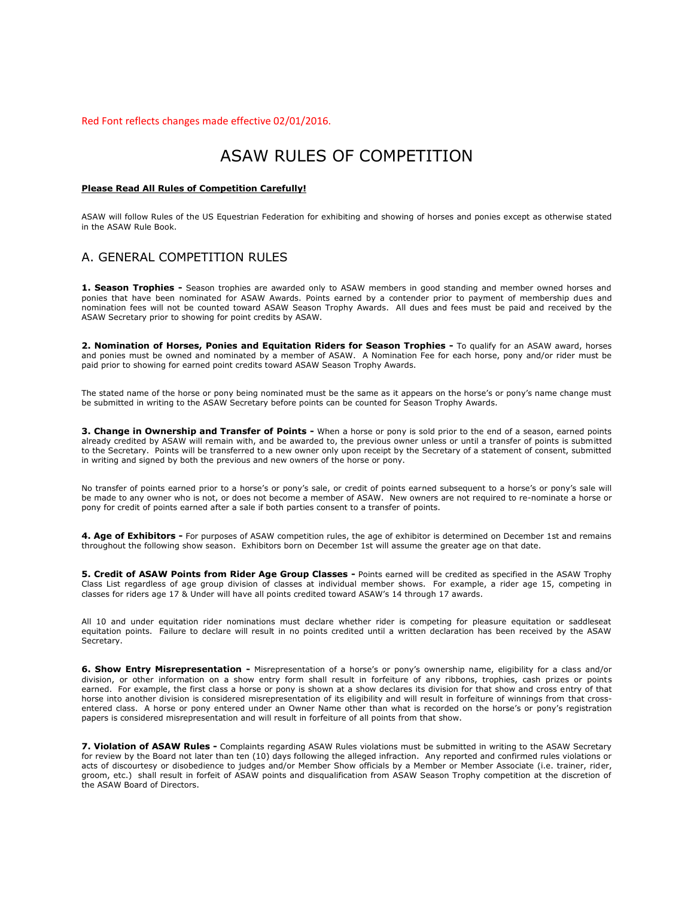Red Font reflects changes made effective 02/01/2016.

# ASAW RULES OF COMPETITION

#### **Please Read All Rules of Competition Carefully!**

ASAW will follow Rules of the US Equestrian Federation for exhibiting and showing of horses and ponies except as otherwise stated in the ASAW Rule Book.

#### A. GENERAL COMPETITION RULES

**1. Season Trophies -** Season trophies are awarded only to ASAW members in good standing and member owned horses and ponies that have been nominated for ASAW Awards. Points earned by a contender prior to payment of membership dues and nomination fees will not be counted toward ASAW Season Trophy Awards. All dues and fees must be paid and received by the ASAW Secretary prior to showing for point credits by ASAW.

**2. Nomination of Horses, Ponies and Equitation Riders for Season Trophies -** To qualify for an ASAW award, horses and ponies must be owned and nominated by a member of ASAW. A Nomination Fee for each horse, pony and/or rider must be paid prior to showing for earned point credits toward ASAW Season Trophy Awards.

The stated name of the horse or pony being nominated must be the same as it appears on the horse's or pony's name change must be submitted in writing to the ASAW Secretary before points can be counted for Season Trophy Awards.

**3. Change in Ownership and Transfer of Points -** When a horse or pony is sold prior to the end of a season, earned points already credited by ASAW will remain with, and be awarded to, the previous owner unless or until a transfer of points is submitted to the Secretary. Points will be transferred to a new owner only upon receipt by the Secretary of a statement of consent, submitted in writing and signed by both the previous and new owners of the horse or pony.

No transfer of points earned prior to a horse's or pony's sale, or credit of points earned subsequent to a horse's or pony's sale will be made to any owner who is not, or does not become a member of ASAW. New owners are not required to re-nominate a horse or pony for credit of points earned after a sale if both parties consent to a transfer of points.

**4. Age of Exhibitors -** For purposes of ASAW competition rules, the age of exhibitor is determined on December 1st and remains throughout the following show season. Exhibitors born on December 1st will assume the greater age on that date.

**5. Credit of ASAW Points from Rider Age Group Classes -** Points earned will be credited as specified in the ASAW Trophy Class List regardless of age group division of classes at individual member shows. For example, a rider age 15, competing in classes for riders age 17 & Under will have all points credited toward ASAW's 14 through 17 awards.

All 10 and under equitation rider nominations must declare whether rider is competing for pleasure equitation or saddleseat equitation points. Failure to declare will result in no points credited until a written declaration has been received by the ASAW Secretary.

**6. Show Entry Misrepresentation -** Misrepresentation of a horse's or pony's ownership name, eligibility for a class and/or division, or other information on a show entry form shall result in forfeiture of any ribbons, trophies, cash prizes or points earned. For example, the first class a horse or pony is shown at a show declares its division for that show and cross entry of that horse into another division is considered misrepresentation of its eligibility and will result in forfeiture of winnings from that crossentered class. A horse or pony entered under an Owner Name other than what is recorded on the horse's or pony's registration papers is considered misrepresentation and will result in forfeiture of all points from that show.

**7. Violation of ASAW Rules -** Complaints regarding ASAW Rules violations must be submitted in writing to the ASAW Secretary for review by the Board not later than ten (10) days following the alleged infraction. Any reported and confirmed rules violations or acts of discourtesy or disobedience to judges and/or Member Show officials by a Member or Member Associate (i.e. trainer, rider, groom, etc.) shall result in forfeit of ASAW points and disqualification from ASAW Season Trophy competition at the discretion of the ASAW Board of Directors.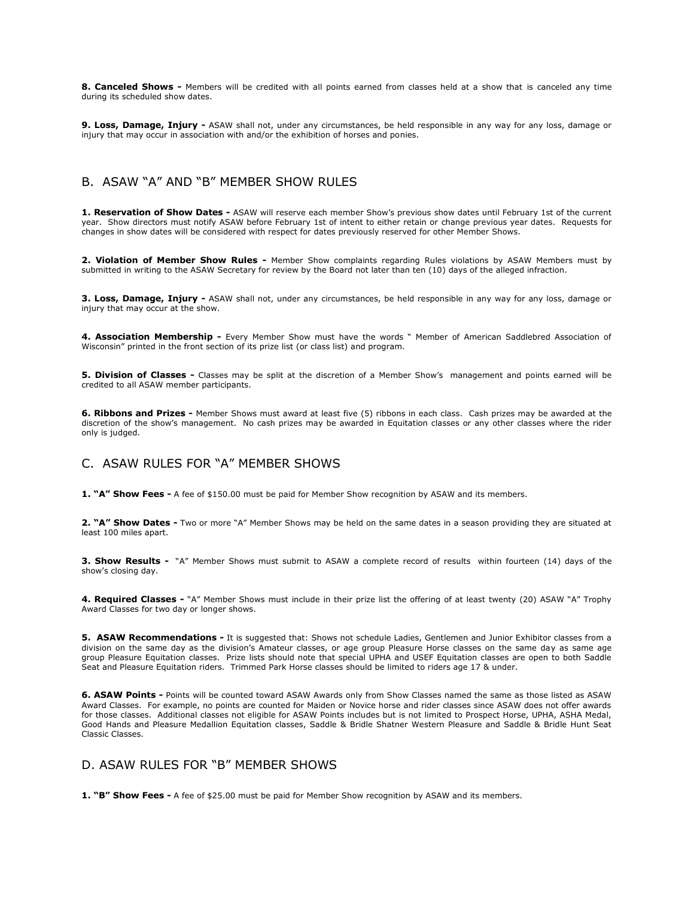**8. Canceled Shows -** Members will be credited with all points earned from classes held at a show that is canceled any time during its scheduled show dates.

9. Loss, Damage, Injury - ASAW shall not, under any circumstances, be held responsible in any way for any loss, damage or injury that may occur in association with and/or the exhibition of horses and ponies.

# B. ASAW "A" AND "B" MEMBER SHOW RULES

**1. Reservation of Show Dates -** ASAW will reserve each member Show's previous show dates until February 1st of the current year. Show directors must notify ASAW before February 1st of intent to either retain or change previous year dates. Requests for changes in show dates will be considered with respect for dates previously reserved for other Member Shows.

**2. Violation of Member Show Rules -** Member Show complaints regarding Rules violations by ASAW Members must by submitted in writing to the ASAW Secretary for review by the Board not later than ten (10) days of the alleged infraction.

**3. Loss, Damage, Injury -** ASAW shall not, under any circumstances, be held responsible in any way for any loss, damage or injury that may occur at the show.

**4. Association Membership -** Every Member Show must have the words " Member of American Saddlebred Association of Wisconsin" printed in the front section of its prize list (or class list) and program.

**5. Division of Classes -** Classes may be split at the discretion of a Member Show's management and points earned will be credited to all ASAW member participants.

**6. Ribbons and Prizes -** Member Shows must award at least five (5) ribbons in each class. Cash prizes may be awarded at the discretion of the show's management. No cash prizes may be awarded in Equitation classes or any other classes where the rider only is judged.

# C. ASAW RULES FOR "A" MEMBER SHOWS

**1. "A" Show Fees -** A fee of \$150.00 must be paid for Member Show recognition by ASAW and its members.

2. "A" Show Dates - Two or more "A" Member Shows may be held on the same dates in a season providing they are situated at least 100 miles apart.

**3. Show Results -** "A" Member Shows must submit to ASAW a complete record of results within fourteen (14) days of the show's closing day.

**4. Required Classes -** "A" Member Shows must include in their prize list the offering of at least twenty (20) ASAW "A" Trophy Award Classes for two day or longer shows.

**5. ASAW Recommendations -** It is suggested that: Shows not schedule Ladies, Gentlemen and Junior Exhibitor classes from a division on the same day as the division's Amateur classes, or age group Pleasure Horse classes on the same day as same age group Pleasure Equitation classes. Prize lists should note that special UPHA and USEF Equitation classes are open to both Saddle Seat and Pleasure Equitation riders. Trimmed Park Horse classes should be limited to riders age 17 & under.

**6. ASAW Points -** Points will be counted toward ASAW Awards only from Show Classes named the same as those listed as ASAW Award Classes. For example, no points are counted for Maiden or Novice horse and rider classes since ASAW does not offer awards for those classes. Additional classes not eligible for ASAW Points includes but is not limited to Prospect Horse, UPHA, ASHA Medal, Good Hands and Pleasure Medallion Equitation classes, Saddle & Bridle Shatner Western Pleasure and Saddle & Bridle Hunt Seat Classic Classes.

### D. ASAW RULES FOR "B" MEMBER SHOWS

**1. "B" Show Fees -** A fee of \$25.00 must be paid for Member Show recognition by ASAW and its members.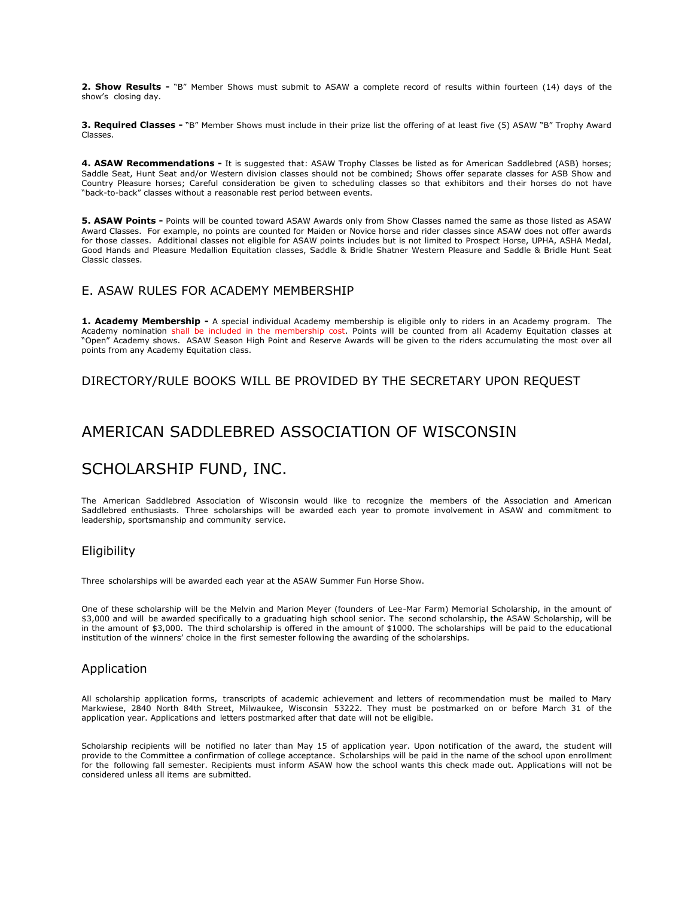**2. Show Results -** "B" Member Shows must submit to ASAW a complete record of results within fourteen (14) days of the show's closing day.

**3. Required Classes -** "B" Member Shows must include in their prize list the offering of at least five (5) ASAW "B" Trophy Award Classes.

**4. ASAW Recommendations -** It is suggested that: ASAW Trophy Classes be listed as for American Saddlebred (ASB) horses; Saddle Seat, Hunt Seat and/or Western division classes should not be combined; Shows offer separate classes for ASB Show and Country Pleasure horses; Careful consideration be given to scheduling classes so that exhibitors and their horses do not have "back-to-back" classes without a reasonable rest period between events.

**5. ASAW Points -** Points will be counted toward ASAW Awards only from Show Classes named the same as those listed as ASAW Award Classes. For example, no points are counted for Maiden or Novice horse and rider classes since ASAW does not offer awards for those classes. Additional classes not eligible for ASAW points includes but is not limited to Prospect Horse, UPHA, ASHA Medal, Good Hands and Pleasure Medallion Equitation classes, Saddle & Bridle Shatner Western Pleasure and Saddle & Bridle Hunt Seat Classic classes.

### E. ASAW RULES FOR ACADEMY MEMBERSHIP

**1. Academy Membership -** A special individual Academy membership is eligible only to riders in an Academy program. The Academy nomination shall be included in the membership cost. Points will be counted from all Academy Equitation classes at "Open" Academy shows. ASAW Season High Point and Reserve Awards will be given to the riders accumulating the most over all points from any Academy Equitation class.

DIRECTORY/RULE BOOKS WILL BE PROVIDED BY THE SECRETARY UPON REQUEST

# AMERICAN SADDLEBRED ASSOCIATION OF WISCONSIN

# SCHOLARSHIP FUND, INC.

The  American Saddlebred Association of Wisconsin would like to recognize the  members of the Association and American Saddlebred enthusiasts.  Three  scholarships will be awarded each year to promote involvement in ASAW and  commitment to leadership, sportsmanship and community  service.

# Eligibility

Three  scholarships will be awarded each year at the ASAW Summer Fun Horse Show.  

One of these scholarship will be the Melvin and Marion Meyer (founders  of Lee-Mar Farm) Memorial Scholarship, in the amount of \$3,000 and will  be awarded specifically to a graduating high school senior. The  second scholarship, the ASAW Scholarship, will be in the amount of \$3,000.  The third scholarship is offered in the amount of \$1000. The scholarships  will be paid to the educational institution of the winners' choice in the  first semester following the awarding of the scholarships.

# Application

All scholarship application forms,  transcripts of academic achievement and letters of recommendation must be  mailed to Mary Markwiese, 2840 North 84th Street, Milwaukee, Wisconsin  53222. They must be postmarked on or before March 31 of the application year. Applications and  letters postmarked after that date will not be eligible.  

Scholarship recipients will be  notified no later than May 15 of application year. Upon notification of the award, the  student will provide to the Committee a confirmation of college acceptance.  Scholarships will be paid in the name of the school upon enrollment for the  following fall semester. Recipients must inform ASAW how the school wants this check made out. Applications will not be considered unless all items  are submitted.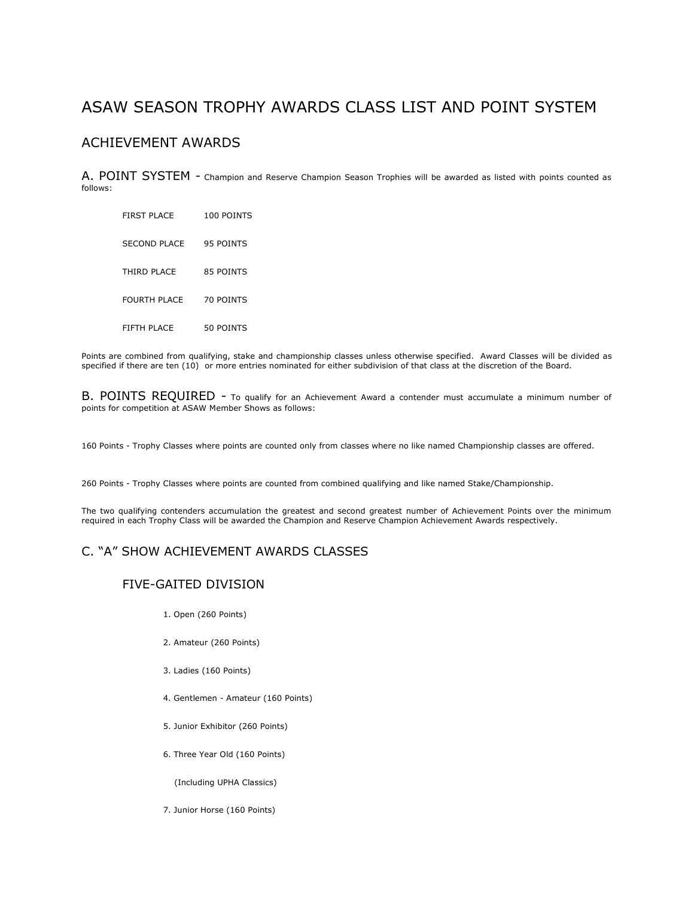# ASAW SEASON TROPHY AWARDS CLASS LIST AND POINT SYSTEM

# ACHIEVEMENT AWARDS

A. POINT SYSTEM - Champion and Reserve Champion Season Trophies will be awarded as listed with points counted as follows:

| <b>FIRST PLACE</b>  | 100 POINTS       |
|---------------------|------------------|
| SECOND PLACE        | 95 POINTS        |
| THIRD PLACE         | 85 POINTS        |
| <b>FOURTH PLACE</b> | <b>70 POINTS</b> |
| FIFTH PLACE         | 50 POINTS        |

Points are combined from qualifying, stake and championship classes unless otherwise specified. Award Classes will be divided as specified if there are ten (10) or more entries nominated for either subdivision of that class at the discretion of the Board.

B. POINTS REQUIRED - To qualify for an Achievement Award a contender must accumulate a minimum number of points for competition at ASAW Member Shows as follows:

160 Points - Trophy Classes where points are counted only from classes where no like named Championship classes are offered.

260 Points - Trophy Classes where points are counted from combined qualifying and like named Stake/Championship.

The two qualifying contenders accumulation the greatest and second greatest number of Achievement Points over the minimum required in each Trophy Class will be awarded the Champion and Reserve Champion Achievement Awards respectively.

# C. "A" SHOW ACHIEVEMENT AWARDS CLASSES

#### FIVE-GAITED DIVISION

- 1. Open (260 Points)
- 2. Amateur (260 Points)
- 3. Ladies (160 Points)
- 4. Gentlemen Amateur (160 Points)
- 5. Junior Exhibitor (260 Points)
- 6. Three Year Old (160 Points)

(Including UPHA Classics)

7. Junior Horse (160 Points)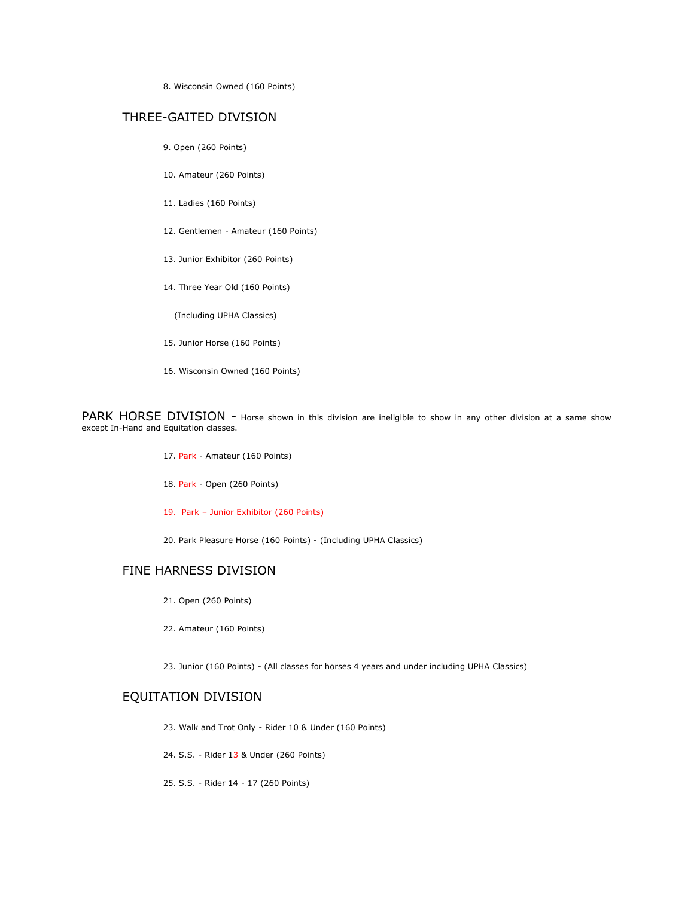8. Wisconsin Owned (160 Points)

#### THREE-GAITED DIVISION

- 9. Open (260 Points)
- 10. Amateur (260 Points)
- 11. Ladies (160 Points)
- 12. Gentlemen Amateur (160 Points)
- 13. Junior Exhibitor (260 Points)
- 14. Three Year Old (160 Points)

(Including UPHA Classics)

- 15. Junior Horse (160 Points)
- 16. Wisconsin Owned (160 Points)

PARK HORSE DIVISION - Horse shown in this division are ineligible to show in any other division at a same show except In-Hand and Equitation classes.

- 17. Park Amateur (160 Points)
- 18. Park Open (260 Points)
- 19. Park Junior Exhibitor (260 Points)

20. Park Pleasure Horse (160 Points) - (Including UPHA Classics)

## FINE HARNESS DIVISION

- 21. Open (260 Points)
- 22. Amateur (160 Points)

23. Junior (160 Points) - (All classes for horses 4 years and under including UPHA Classics)

# EQUITATION DIVISION

23. Walk and Trot Only - Rider 10 & Under (160 Points)

24. S.S. - Rider 13 & Under (260 Points)

25. S.S. - Rider 14 - 17 (260 Points)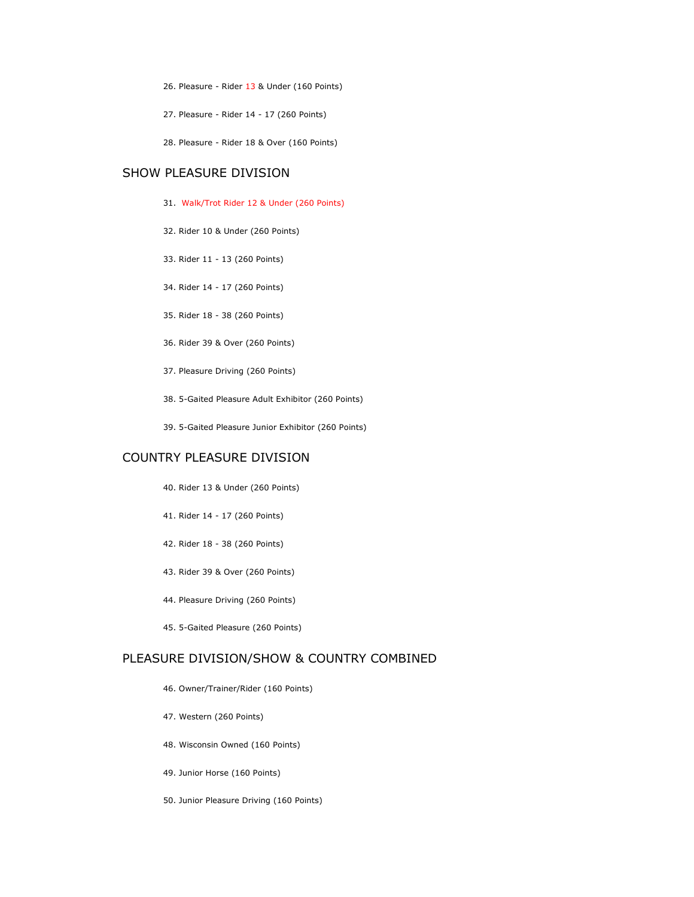- 26. Pleasure Rider 13 & Under (160 Points)
- 27. Pleasure Rider 14 17 (260 Points)
- 28. Pleasure Rider 18 & Over (160 Points)

# SHOW PLEASURE DIVISION

- 31. Walk/Trot Rider 12 & Under (260 Points)
- 32. Rider 10 & Under (260 Points)
- 33. Rider 11 13 (260 Points)
- 34. Rider 14 17 (260 Points)
- 35. Rider 18 38 (260 Points)
- 36. Rider 39 & Over (260 Points)
- 37. Pleasure Driving (260 Points)
- 38. 5-Gaited Pleasure Adult Exhibitor (260 Points)
- 39. 5-Gaited Pleasure Junior Exhibitor (260 Points)

# COUNTRY PLEASURE DIVISION

- 40. Rider 13 & Under (260 Points)
- 41. Rider 14 17 (260 Points)
- 42. Rider 18 38 (260 Points)
- 43. Rider 39 & Over (260 Points)
- 44. Pleasure Driving (260 Points)
- 45. 5-Gaited Pleasure (260 Points)

#### PLEASURE DIVISION/SHOW & COUNTRY COMBINED

- 46. Owner/Trainer/Rider (160 Points)
- 47. Western (260 Points)
- 48. Wisconsin Owned (160 Points)
- 49. Junior Horse (160 Points)
- 50. Junior Pleasure Driving (160 Points)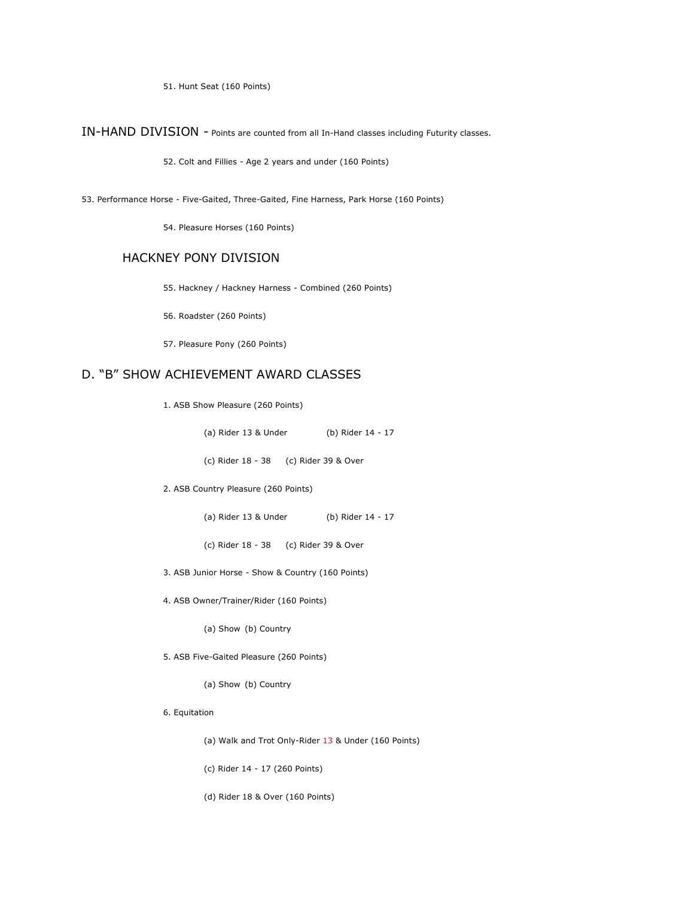51. Hunt Seat (160 Points)

IN-HAND DIVISION - Points are counted from all In-Hand classes including Futurity classes.

52. Colt and Fillies - Age 2 years and under (160 Points)

53. Performance Horse - Five-Gaited, Three-Gaited, Fine Harness, Park Horse (160 Points)

54. Pleasure Horses (160 Points)

## HACKNEY PONY DIVISION

55. Hackney / Hackney Harness - Combined (260 Points)

56. Roadster (260 Points)

57. Pleasure Pony (260 Points)

# D. "B" SHOW ACHIEVEMENT AWARD CLASSES

- 1. ASB Show Pleasure (260 Points)
	- (a) Rider 13 & Under (b) Rider 14 17
	- (c) Rider 18 38 (c) Rider 39 & Over
- 2. ASB Country Pleasure (260 Points)
	- (a) Rider 13 & Under (b) Rider 14 17
	- (c) Rider 18 38 (c) Rider 39 & Over
- 3. ASB Junior Horse Show & Country (160 Points)
- 4. ASB Owner/Trainer/Rider (160 Points)

(a) Show (b) Country

- 5. ASB Five-Gaited Pleasure (260 Points)
	- (a) Show (b) Country
- 6. Equitation
	- (a) Walk and Trot Only-Rider 13 & Under (160 Points)
	- (c) Rider 14 17 (260 Points)
	- (d) Rider 18 & Over (160 Points)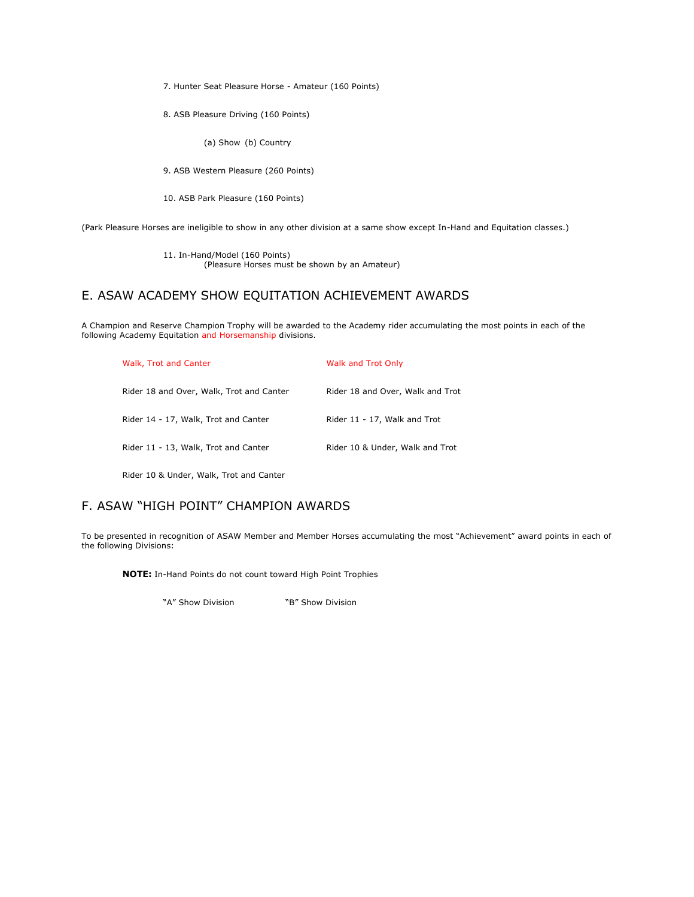7. Hunter Seat Pleasure Horse - Amateur (160 Points)

8. ASB Pleasure Driving (160 Points)

(a) Show (b) Country

9. ASB Western Pleasure (260 Points)

10. ASB Park Pleasure (160 Points)

(Park Pleasure Horses are ineligible to show in any other division at a same show except In-Hand and Equitation classes.)

11. In-Hand/Model (160 Points) (Pleasure Horses must be shown by an Amateur)

# E. ASAW ACADEMY SHOW EQUITATION ACHIEVEMENT AWARDS

A Champion and Reserve Champion Trophy will be awarded to the Academy rider accumulating the most points in each of the following Academy Equitation and Horsemanship divisions.

| Walk, Trot and Canter                    | Walk and Trot Only               |
|------------------------------------------|----------------------------------|
| Rider 18 and Over, Walk, Trot and Canter | Rider 18 and Over, Walk and Trot |
| Rider 14 - 17, Walk, Trot and Canter     | Rider 11 - 17, Walk and Trot     |
| Rider 11 - 13, Walk, Trot and Canter     | Rider 10 & Under, Walk and Trot  |
|                                          |                                  |

Rider 10 & Under, Walk, Trot and Canter

# F. ASAW "HIGH POINT" CHAMPION AWARDS

To be presented in recognition of ASAW Member and Member Horses accumulating the most "Achievement" award points in each of the following Divisions:

**NOTE:** In-Hand Points do not count toward High Point Trophies

"A" Show Division "B" Show Division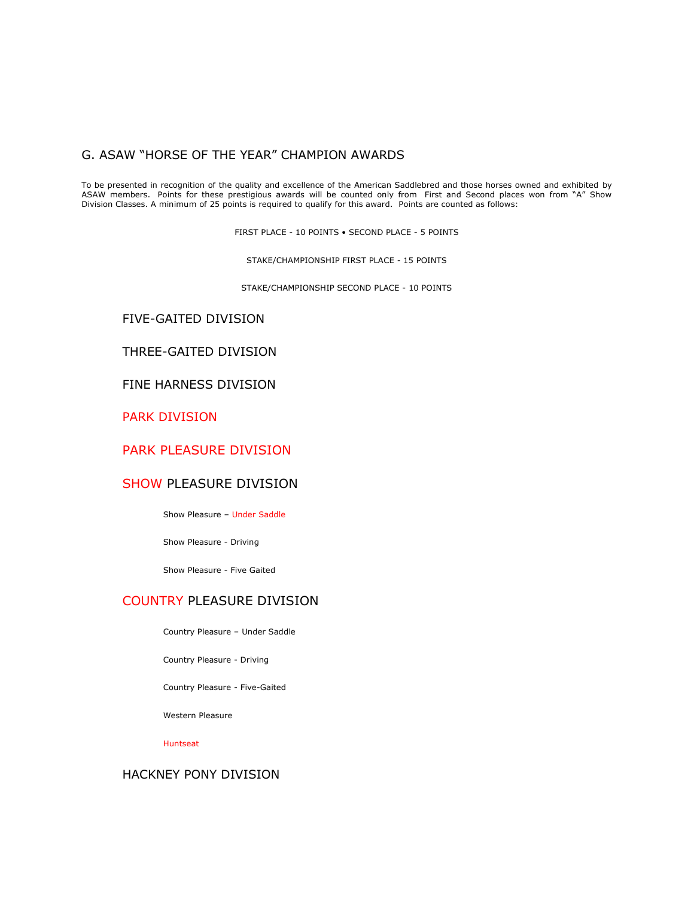## G. ASAW "HORSE OF THE YEAR" CHAMPION AWARDS

To be presented in recognition of the quality and excellence of the American Saddlebred and those horses owned and exhibited by ASAW members. Points for these prestigious awards will be counted only from First and Second places won from "A" Show Division Classes. A minimum of 25 points is required to qualify for this award. Points are counted as follows:

FIRST PLACE - 10 POINTS • SECOND PLACE - 5 POINTS

STAKE/CHAMPIONSHIP FIRST PLACE - 15 POINTS

STAKE/CHAMPIONSHIP SECOND PLACE - 10 POINTS

# FIVE-GAITED DIVISION

# THREE-GAITED DIVISION

FINE HARNESS DIVISION

PARK DIVISION

# PARK PLEASURE DIVISION

# SHOW PLEASURE DIVISION

Show Pleasure – Under Saddle

Show Pleasure - Driving

Show Pleasure - Five Gaited

# COUNTRY PLEASURE DIVISION

Country Pleasure – Under Saddle

Country Pleasure - Driving

Country Pleasure - Five-Gaited

Western Pleasure

Huntseat

# HACKNEY PONY DIVISION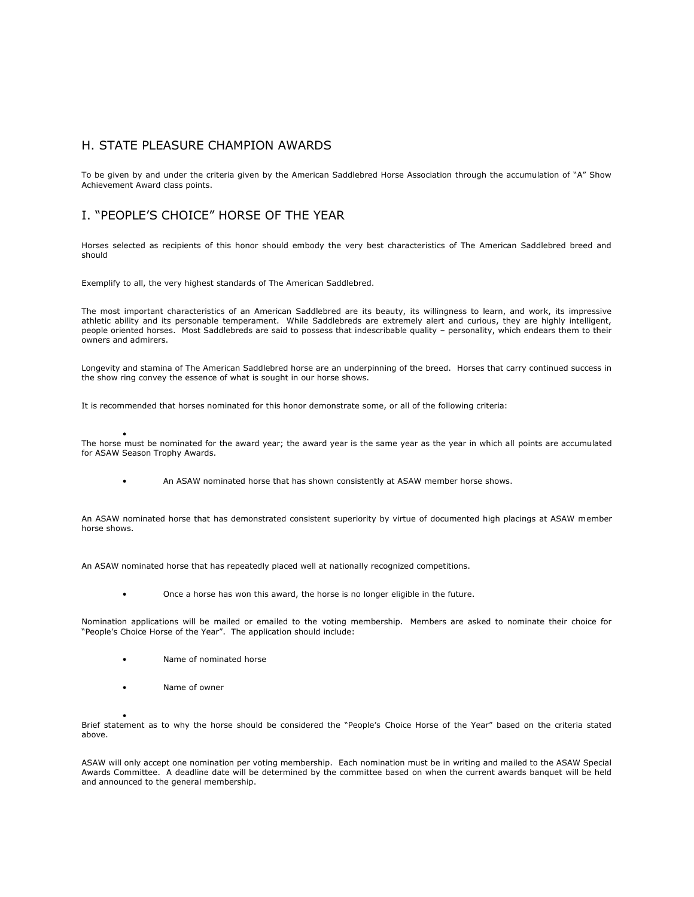## H. STATE PLEASURE CHAMPION AWARDS

To be given by and under the criteria given by the American Saddlebred Horse Association through the accumulation of "A" Show Achievement Award class points.

### I. "PEOPLE'S CHOICE" HORSE OF THE YEAR

Horses selected as recipients of this honor should embody the very best characteristics of The American Saddlebred breed and should

Exemplify to all, the very highest standards of The American Saddlebred.

The most important characteristics of an American Saddlebred are its beauty, its willingness to learn, and work, its impressive athletic ability and its personable temperament. While Saddlebreds are extremely alert and curious, they are highly intelligent, people oriented horses. Most Saddlebreds are said to possess that indescribable quality – personality, which endears them to their owners and admirers.

Longevity and stamina of The American Saddlebred horse are an underpinning of the breed. Horses that carry continued success in the show ring convey the essence of what is sought in our horse shows.

It is recommended that horses nominated for this honor demonstrate some, or all of the following criteria:

• The horse must be nominated for the award year; the award year is the same year as the year in which all points are accumulated for ASAW Season Trophy Awards.

An ASAW nominated horse that has shown consistently at ASAW member horse shows.

An ASAW nominated horse that has demonstrated consistent superiority by virtue of documented high placings at ASAW member horse shows.

An ASAW nominated horse that has repeatedly placed well at nationally recognized competitions.

• Once a horse has won this award, the horse is no longer eligible in the future.

Nomination applications will be mailed or emailed to the voting membership. Members are asked to nominate their choice for "People's Choice Horse of the Year". The application should include:

- Name of nominated horse
- Name of owner

•

Brief statement as to why the horse should be considered the "People's Choice Horse of the Year" based on the criteria stated above.

ASAW will only accept one nomination per voting membership. Each nomination must be in writing and mailed to the ASAW Special Awards Committee. A deadline date will be determined by the committee based on when the current awards banquet will be held and announced to the general membership.